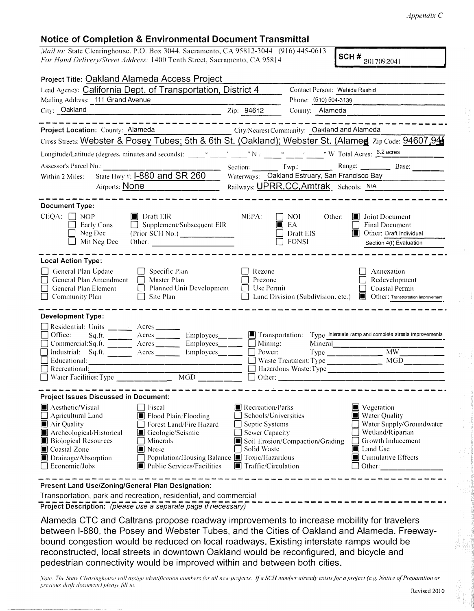## **Notice of Completion & Environmental Document Transmittal**

*Mail to: State Clearinghouse, P.O. Box 3044, Sacramento, CA 95812-3044 (916) 445-0613 For Hand Delivery/Street Address: 1400 Tenth Street, Sacramento, CA 95814 .* 

SCH #  $_{2017092041}$ 

| Project Title: Oakland Alameda Access Project                                                                                                                                                                                                                                                                                                                                                                        |                                                                                                                             |                                                                        |                                                                                                                                                              |  |
|----------------------------------------------------------------------------------------------------------------------------------------------------------------------------------------------------------------------------------------------------------------------------------------------------------------------------------------------------------------------------------------------------------------------|-----------------------------------------------------------------------------------------------------------------------------|------------------------------------------------------------------------|--------------------------------------------------------------------------------------------------------------------------------------------------------------|--|
| Lead Agency: California Dept. of Transportation, District 4                                                                                                                                                                                                                                                                                                                                                          |                                                                                                                             | Contact Person: Wahida Rashid                                          |                                                                                                                                                              |  |
| Mailing Address: 111 Grand Avenue                                                                                                                                                                                                                                                                                                                                                                                    |                                                                                                                             | Phone: (510) 504-3139                                                  |                                                                                                                                                              |  |
| City: Oakland                                                                                                                                                                                                                                                                                                                                                                                                        | Zip: 94612                                                                                                                  | County: Alameda                                                        |                                                                                                                                                              |  |
| Project Location: County: Alameda<br>Cross Streets: Webster & Posey Tubes; 5th & 6th St. (Oakland); Webster St. (Alamed Zip Code: 94607,94                                                                                                                                                                                                                                                                           |                                                                                                                             | City/Nearest Community: Oakland and Alameda                            |                                                                                                                                                              |  |
|                                                                                                                                                                                                                                                                                                                                                                                                                      |                                                                                                                             |                                                                        |                                                                                                                                                              |  |
| Assessor's Parcel No.:<br>State Hwy #: 1-880 and SR 260<br>Within 2 Miles:                                                                                                                                                                                                                                                                                                                                           |                                                                                                                             |                                                                        | Section: Twp.: Range: Range: Base:<br>Waterways: Oakland Estruary, San Francisco Bay                                                                         |  |
| Airports: None                                                                                                                                                                                                                                                                                                                                                                                                       |                                                                                                                             | Railways: UPRR, CC, Amtrak Schools: N/A                                |                                                                                                                                                              |  |
|                                                                                                                                                                                                                                                                                                                                                                                                                      |                                                                                                                             |                                                                        |                                                                                                                                                              |  |
| <b>Document Type:</b><br>$CEQA: \Box NOP$<br>$\blacksquare$ Draft EIR<br>$\Box$ Supplement/Subsequent EIR<br>Early Cons<br>Neg Dec<br>(Prior SCII No.)<br>Mit Neg Dec<br>Other: $\qquad \qquad$                                                                                                                                                                                                                      | NEPA:                                                                                                                       | $\Box$ NOI<br>Other:<br>$\blacksquare$ EA<br>Draft EIS<br><b>FONSI</b> | $\Box$ Joint Document<br><b>Final Document</b><br>Other: Draft Individual<br>Section 4(f) Evaluation                                                         |  |
| <b>Local Action Type:</b><br>General Plan Update<br>Specific Plan<br>General Plan Amendment<br>Master Plan<br>$\Box$<br>$\Box$ General Plan Element<br>Planned Unit Development<br>$\Box$ Community Plan<br>Site Plan                                                                                                                                                                                                | Rezone<br>Prezone<br>Use Permit                                                                                             |                                                                        | Annexation<br>Redevelopment<br>Coastal Permit<br>Land Division (Subdivision, etc.) <b>I</b> Other: Transportation Improvement                                |  |
| <b>Development Type:</b>                                                                                                                                                                                                                                                                                                                                                                                             |                                                                                                                             |                                                                        |                                                                                                                                                              |  |
| Residential: Units _______ Acres _____<br>Office:<br>Employees____<br>Commercial:Sq.ft. _______ Acres _____<br>Employees____<br>Industrial: Sq.ft. _______ Acres ______<br>Employees___<br>$\Box$ Recreational:                                                                                                                                                                                                      | Mining:<br>Power:                                                                                                           | Mineral<br>Waste Treatment: Type _______________                       | Transportation: Type Interstate ramp and complete streets improvements<br>Type ______________________ MW<br><b>MGD</b>                                       |  |
| <b>Project Issues Discussed in Document:</b><br>Aesthetic/Visual<br>[ Fiscal<br>Flood Plain/Flooding<br>$\Box$ Agricultural Land<br>Air Quality<br>Forest Land/Fire Hazard<br>Archeological/Historical<br>Geologic/Seismic<br><b>Biological Resources</b><br>Minerals<br>Coastal Zone<br>Noise<br>Population/Housing Balance ■ Toxic/Hazardous<br>Drainage/Absorption<br>Economic/Jobs<br>Public Services/Facilities | Recreation/Parks<br>$\Box$ Schools/Universities<br>Septic Systems<br>Sewer Capacity<br>Solid Waste<br>■ Traffic/Circulation | Soil Erosion/Compaction/Grading                                        | Vegetation<br>Water Quality<br>$\Box$ Water Supply/Groundwater<br>Wetland/Riparian<br>Growth Inducement<br><b>I</b> Land Use<br>Cumulative Effects<br>Other: |  |
| Present Land Use/Zoning/General Plan Designation:                                                                                                                                                                                                                                                                                                                                                                    |                                                                                                                             |                                                                        |                                                                                                                                                              |  |

Transportation, park and recreation, residential, and commercial

**Project Description:** *(please use a separate page if necessary)* 

Alameda CTC and Caltrans propose roadway improvements to increase mobility for travelers between 1-880, the Posey and Webster Tubes, and the Cities of Oakland and Alameda. Freewaybound congestion would be reduced on local roadways. Existing interstate ramps would be reconstructed, local streets in downtown Oakland would be reconfigured, and bicycle and pedestrian connectivity would be improved within and between both cities .

Note: The State Clearinghouse will assign identification numbers for all new projects. If a SCH number already exists for a project (e.g. Notice of Preparation or *previous draft document) please fill in.*